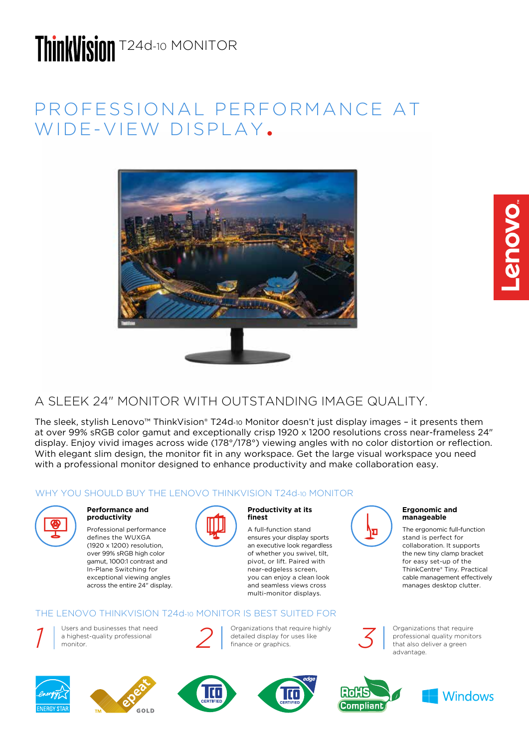# ThinkVisinn T24d-10 MONITOR

## PROFESSIONAL PERFORMANCE AT WIDE-VIEW DISPLAY.



## A SLEEK 24" MONITOR WITH OUTSTANDING IMAGE QUALITY.

The sleek, stylish Lenovo™ ThinkVision® T24d-10 Monitor doesn't just display images – it presents them at over 99% sRGB color gamut and exceptionally crisp 1920 x 1200 resolutions cross near-frameless 24" display. Enjoy vivid images across wide (178°/178°) viewing angles with no color distortion or reflection. With elegant slim design, the monitor fit in any workspace. Get the large visual workspace you need with a professional monitor designed to enhance productivity and make collaboration easy.

### WHY YOU SHOULD BUY THE LENOVO THINKVISION T24d-10 MONITOR



#### **Performance and productivity**

Professional performance defines the WUXGA (1920 x 1200) resolution, over 99% sRGB high color gamut, 1000:1 contrast and In-Plane Switching for exceptional viewing angles across the entire 24" display.



#### **Productivity at its finest**

A full-function stand ensures your display sports an executive look regardless of whether you swivel, tilt, pivot, or lift. Paired with near-edgeless screen, you can enjoy a clean look and seamless views cross multi-monitor displays.

### THE LENOVO THINKVISION T24d-10 MONITOR IS BEST SUITED FOR

Users and businesses that need monitor. *1*











Organizations that require highly detailed display for uses like<br>finance or graphics.



Organizations that require professional quality monitors that also deliver a green advantage.

The ergonomic full-function stand is perfect for collaboration. It supports the new tiny clamp bracket for easy set-up of the ThinkCentre® Tiny. Practical cable management effectively manages desktop clutter.

**Ergonomic and manageable**